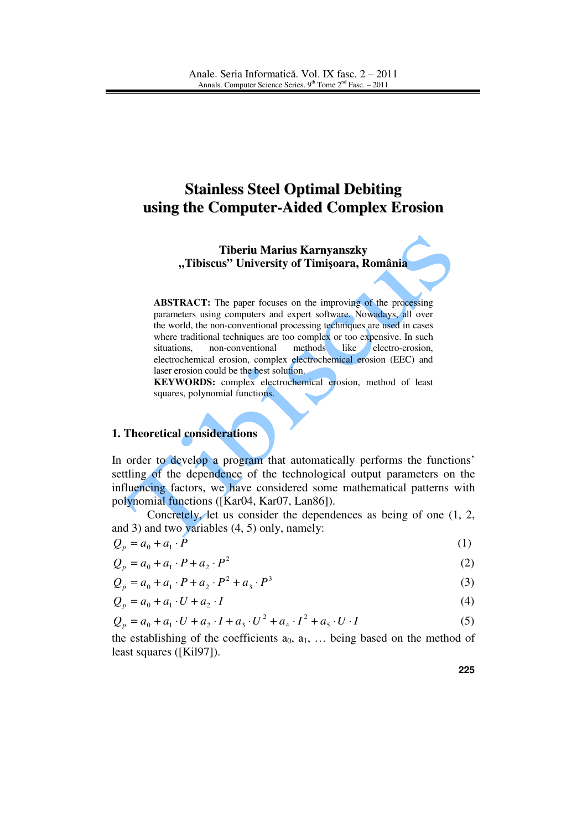# **Stainless Steel Optimal Debiting using the Computer-Aided Complex Erosion**

**Tiberiu Marius Karnyanszky "Tibiscus" University of Timi**ş**oara, România**

**ABSTRACT:** The paper focuses on the improving of the processing parameters using computers and expert software. Nowadays, all over the world, the non-conventional processing techniques are used in cases where traditional techniques are too complex or too expensive. In such situations, non-conventional methods like electro-erosion, electrochemical erosion, complex electrochemical erosion (EEC) and laser erosion could be the best solution.

**KEYWORDS:** complex electrochemical erosion, method of least squares, polynomial functions.

#### **1. Theoretical considerations**

In order to develop a program that automatically performs the functions' settling of the dependence of the technological output parameters on the influencing factors, we have considered some mathematical patterns with polynomial functions ([Kar04, Kar07, Lan86]).

Concretely, let us consider the dependences as being of one (1, 2, and 3) and two variables (4, 5) only, namely:

$$
Q_p = a_0 + a_1 \cdot \tilde{P} \tag{1}
$$

$$
Q_p = a_0 + a_1 \cdot P + a_2 \cdot P^2 \tag{2}
$$

3  $Q_p = a_0 + a_1 \cdot P + a_2 \cdot P^2 + a_3 \cdot P^3$  (3)

$$
Q_p = a_0 + a_1 \cdot U + a_2 \cdot I \tag{4}
$$

$$
Q_p = a_0 + a_1 \cdot U + a_2 \cdot I + a_3 \cdot U^2 + a_4 \cdot I^2 + a_5 \cdot U \cdot I \tag{5}
$$

the establishing of the coefficients  $a_0, a_1, \ldots$  being based on the method of least squares ([Kil97]).

**225**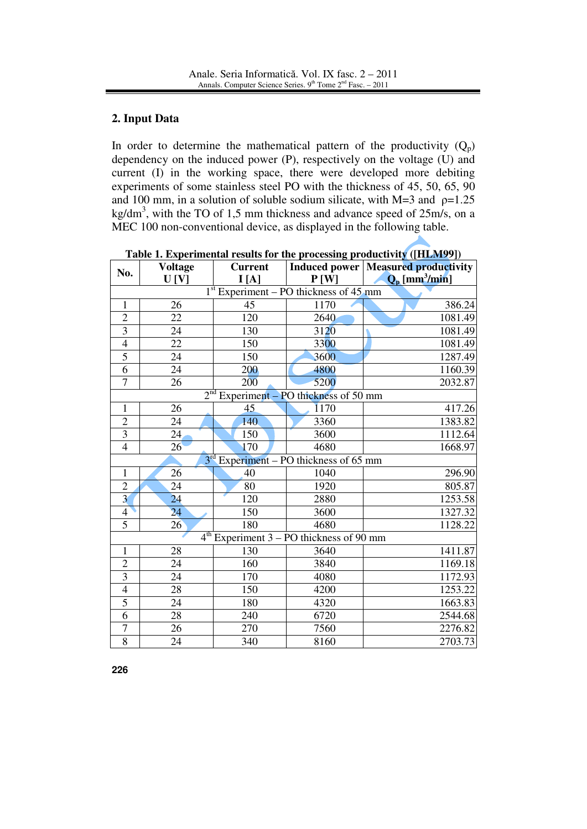## **2. Input Data**

In order to determine the mathematical pattern of the productivity  $(Q_p)$ dependency on the induced power (P), respectively on the voltage (U) and current (I) in the working space, there were developed more debiting experiments of some stainless steel PO with the thickness of 45, 50, 65, 90 and 100 mm, in a solution of soluble sodium silicate, with  $M=3$  and  $p=1.25$ kg/dm<sup>3</sup>, with the TO of 1,5 mm thickness and advance speed of  $25m/s$ , on a MEC 100 non-conventional device, as displayed in the following table.

| No.                                                   | <b>Voltage</b> | <b>Current</b> |      | <b>Induced power   Measured productivity</b> |  |  |  |
|-------------------------------------------------------|----------------|----------------|------|----------------------------------------------|--|--|--|
|                                                       | U [V]          | I[A]           | P[W] | $Q_{\rm p}$ [mm <sup>3</sup> /min]           |  |  |  |
| 1 <sup>st</sup><br>Experiment – PO thickness of 45 mm |                |                |      |                                              |  |  |  |
| $\mathbf{1}$                                          | 26             | 45             | 1170 | 386.24                                       |  |  |  |
| $\overline{2}$                                        | 22             | 120            | 2640 | 1081.49                                      |  |  |  |
| $\overline{3}$                                        | 24             | 130            | 3120 | 1081.49                                      |  |  |  |
| $\overline{4}$                                        | 22             | 150            | 3300 | 1081.49                                      |  |  |  |
| $\overline{5}$                                        | 24             | 150            | 3600 | 1287.49                                      |  |  |  |
| 6                                                     | 24             | 200            | 4800 | 1160.39                                      |  |  |  |
| $\overline{7}$                                        | 26             | 200            | 5200 | 2032.87                                      |  |  |  |
| 2 <sup>nd</sup><br>Experiment - PO thickness of 50 mm |                |                |      |                                              |  |  |  |
| $\mathbf{1}$                                          | 26             | 45             | 1170 | 417.26                                       |  |  |  |
| $\overline{c}$                                        | 24             | 140            | 3360 | 1383.82                                      |  |  |  |
| $\overline{3}$                                        | 24             | 150            | 3600 | 1112.64                                      |  |  |  |
| $\overline{4}$                                        | 26             | 170            | 4680 | 1668.97                                      |  |  |  |
| $3rd$ Experiment – PO thickness of 65 mm              |                |                |      |                                              |  |  |  |
| $\mathbf{1}$                                          | 26             | 40             | 1040 | 296.90                                       |  |  |  |
| $\overline{2}$                                        | 24             | 80             | 1920 | 805.87                                       |  |  |  |
| $\overline{\mathbf{3}}$                               | 24             | 120            | 2880 | 1253.58                                      |  |  |  |
| $\overline{4}$                                        | 24             | 150            | 3600 | 1327.32                                      |  |  |  |
| $\overline{5}$                                        | 26             | 180            | 4680 | 1128.22                                      |  |  |  |
| $4th$ Experiment 3 – PO thickness of 90 mm            |                |                |      |                                              |  |  |  |
| $\mathbf{1}$                                          | 28             | 130            | 3640 | 1411.87                                      |  |  |  |
| $\overline{2}$                                        | 24             | 160            | 3840 | 1169.18                                      |  |  |  |
| $\overline{3}$                                        | 24             | 170            | 4080 | 1172.93                                      |  |  |  |
| $\overline{4}$                                        | 28             | 150            | 4200 | 1253.22                                      |  |  |  |
| 5                                                     | 24             | 180            | 4320 | 1663.83                                      |  |  |  |
| $\overline{6}$                                        | 28             | 240            | 6720 | 2544.68                                      |  |  |  |
| $\overline{7}$                                        | 26             | 270            | 7560 | 2276.82                                      |  |  |  |
| $\overline{8}$                                        | 24             | 340            | 8160 | 2703.73                                      |  |  |  |

**Table 1. Experimental results for the processing productivity ([HLM99])**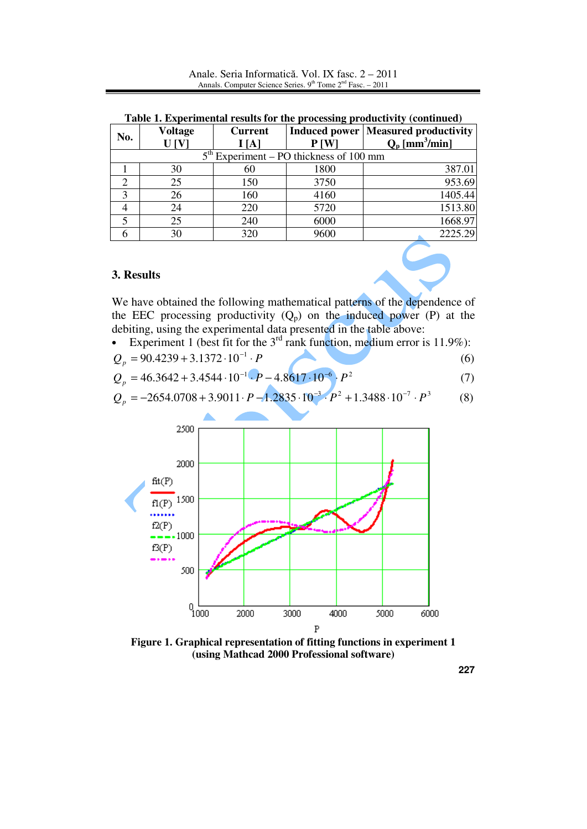| No.                                       | <b>Voltage</b><br>U[V] | <b>Current</b><br>I[A] | P[W] | <b>Induced power   Measured productivity  </b><br>$Q_p$ [mm <sup>3</sup> /min] |  |  |  |
|-------------------------------------------|------------------------|------------------------|------|--------------------------------------------------------------------------------|--|--|--|
| $5th Experiment – PO thickness of 100 mm$ |                        |                        |      |                                                                                |  |  |  |
|                                           | 30                     | 60                     | 1800 | 387.01                                                                         |  |  |  |
|                                           | 25                     | 150                    | 3750 | 953.69                                                                         |  |  |  |
| 3                                         | 26                     | 160                    | 4160 | 1405.44                                                                        |  |  |  |
|                                           | 24                     | 220                    | 5720 | 1513.80                                                                        |  |  |  |
|                                           | 25                     | 240                    | 6000 | 1668.97                                                                        |  |  |  |
|                                           | 30                     | 320                    | 9600 | 2225.29                                                                        |  |  |  |

**Table 1. Experimental results for the processing productivity (continued)**

## **3. Results**

We have obtained the following mathematical patterns of the dependence of the EEC processing productivity  $(Q_p)$  on the induced power (P) at the debiting, using the experimental data presented in the table above:

• Experiment 1 (best fit for the  $3<sup>rd</sup>$  rank function, medium error is 11.9%):

$$
Q_p = 90.4239 + 3.1372 \cdot 10^{-1} \cdot P \tag{6}
$$

$$
Q_p = 46.3642 + 3.4544 \cdot 10^{-1} \cdot P - 4.8617 \cdot 10^{-6} \cdot P^2 \tag{7}
$$

$$
Q_p = -2654.0708 + 3.9011 \cdot P - 1.2835 \cdot 10^{-3} \cdot P^2 + 1.3488 \cdot 10^{-7} \cdot P^3 \tag{8}
$$



**Figure 1. Graphical representation of fitting functions in experiment 1 (using Mathcad 2000 Professional software)**

**227**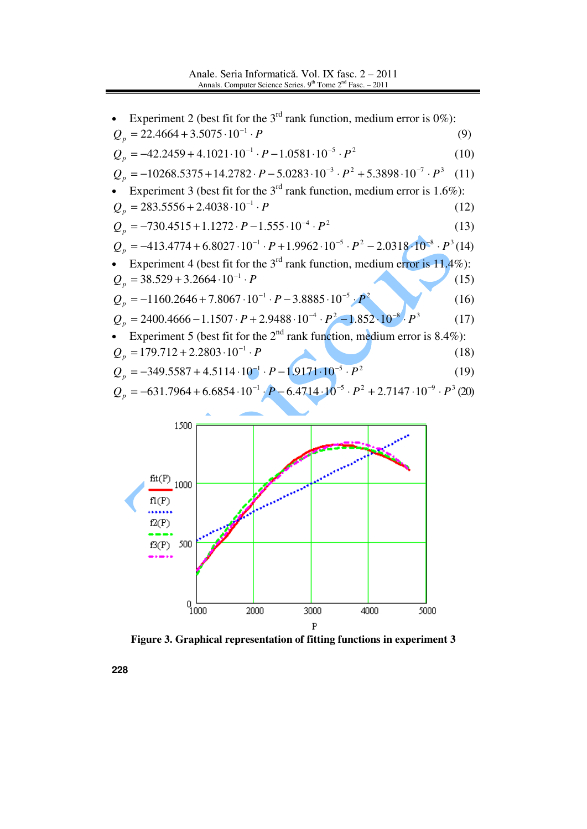



**Figure 3. Graphical representation of fitting functions in experiment 3**

**228**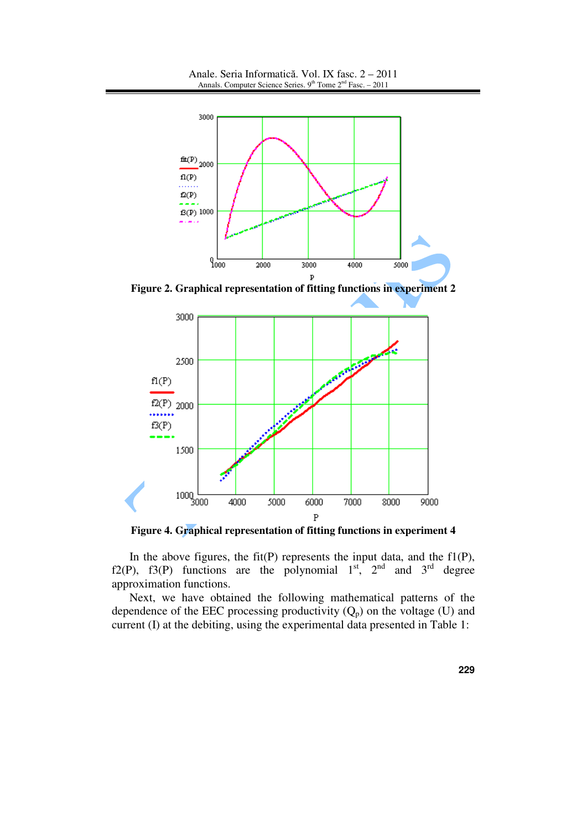Anale. Seria Informatică. Vol. IX fasc. 2 – 2011 Annals. Computer Science Series.  $9<sup>th</sup>$  Tome  $2<sup>nd</sup>$  Fasc. – 2011



**Figure 2. Graphical representation of fitting functions in experiment 2**



**Figure 4. Graphical representation of fitting functions in experiment 4**

In the above figures, the fit(P) represents the input data, and the  $f1(P)$ , f2(P), f3(P) functions are the polynomial  $1<sup>st</sup>$ ,  $2<sup>nd</sup>$  and  $3<sup>rd</sup>$  degree approximation functions.

Next, we have obtained the following mathematical patterns of the dependence of the EEC processing productivity  $(Q_p)$  on the voltage (U) and current (I) at the debiting, using the experimental data presented in Table 1: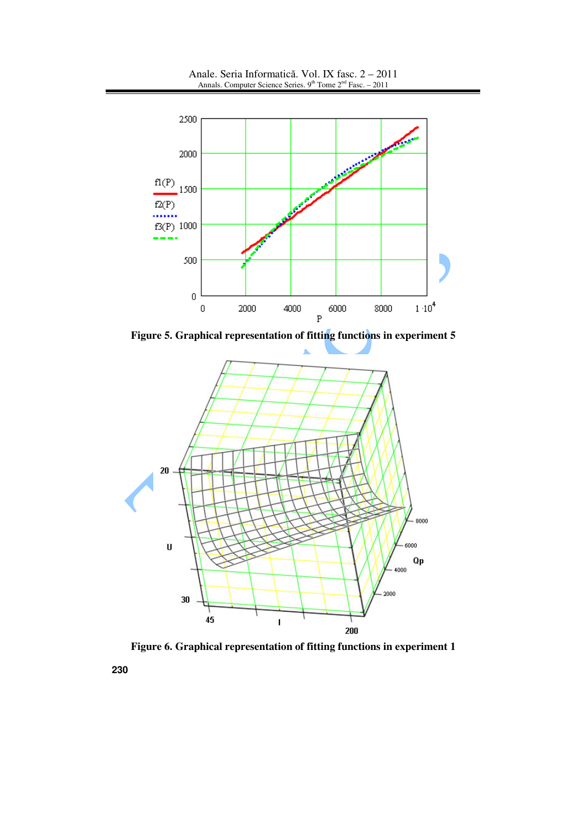Anale. Seria Informatică. Vol. IX fasc. 2 – 2011 Annals. Computer Science Series.  $9<sup>th</sup>$  Tome  $2<sup>nd</sup>$  Fasc. – 2011



**Figure 5. Graphical representation of fitting functions in experiment 5**



**Figure 6. Graphical representation of fitting functions in experiment 1**

**230**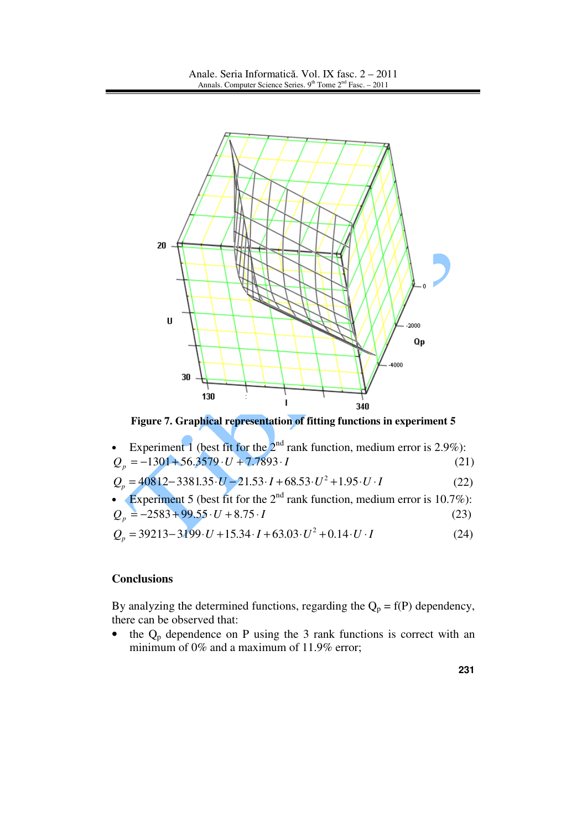

**Figure 7. Graphical representation of fitting functions in experiment 5**

• Experiment 1 (best fit for the  $2^{nd}$  rank function, medium error is 2.9%):  $Q_p = -1301 + 56.3579 \cdot U + 7.7893 \cdot I$  (21)  $Q_p = 40812 - 3381.35 \cdot U - 21.53 \cdot I + 68.53 \cdot U^2 + 1.95 \cdot U \cdot I$  (22) • Experiment 5 (best fit for the  $2<sup>nd</sup>$  rank function, medium error is 10.7%):  $Q_p = -2583 + 99.55 \cdot U + 8.75 \cdot I$  (23)  $Q_p = 39213 - 3199 \cdot U + 15.34 \cdot I + 63.03 \cdot U^2 + 0.14 \cdot U \cdot I$ (24)

### **Conclusions**

By analyzing the determined functions, regarding the  $Q_p = f(P)$  dependency, there can be observed that:

• the  $Q_p$  dependence on P using the 3 rank functions is correct with an minimum of 0% and a maximum of 11.9% error;